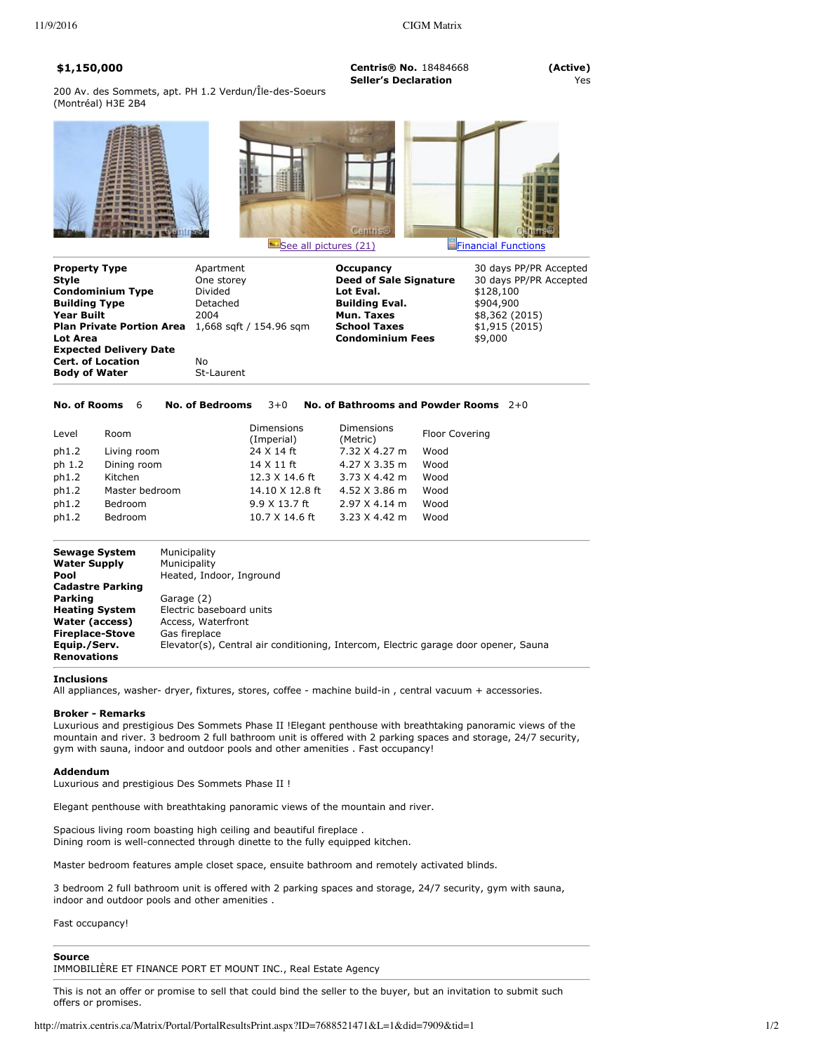**\$1,150,000 Centris® No.** 18484668 **(Active) Seller's Declaration** 

200 Av. des Sommets, apt. PH 1.2 Verdun/Île-des-Soeurs (Montréal) H3E 2B4





| <b>Property Type</b>             | Apartment               | Occupancy                     | 30 days PP/PR Accepted |
|----------------------------------|-------------------------|-------------------------------|------------------------|
| Style                            | One storey              | <b>Deed of Sale Signature</b> | 30 days PP/PR Accepted |
| <b>Condominium Type</b>          | Divided                 | Lot Eval.                     | \$128,100              |
| <b>Building Type</b>             | Detached                | <b>Building Eval.</b>         | \$904,900              |
| <b>Year Built</b>                | 2004                    | Mun. Taxes                    | \$8,362 (2015)         |
| <b>Plan Private Portion Area</b> | 1,668 sqft / 154.96 sqm | <b>School Taxes</b>           | \$1,915(2015)          |
| Lot Area                         |                         | <b>Condominium Fees</b>       | \$9,000                |
| <b>Expected Delivery Date</b>    |                         |                               |                        |
| <b>Cert. of Location</b>         | No.                     |                               |                        |
| <b>Body of Water</b>             | St-Laurent              |                               |                        |

**No. of Rooms** 6 **No. of Bedrooms** 3+0 **No. of Bathrooms and Powder Rooms** 2+0

| Level<br>ph1.2<br>ph 1.2<br>ph1.2<br>ph1.2<br>ph1.2 | Room<br>Living room<br>Dining room<br>Kitchen<br>Master bedroom<br>Bedroom | <b>Dimensions</b><br>(Imperial)<br>24 X 14 ft<br>14 X 11 ft<br>12.3 X 14.6 ft<br>14.10 X 12.8 ft<br>9.9 X 13.7 ft | Dimensions<br>(Metric)<br>7.32 X 4.27 m<br>4.27 X 3.35 m<br>3.73 X 4.42 m<br>4.52 X 3.86 m<br>$2.97$ X 4.14 m | <b>Floor Covering</b><br>Wood<br>Wood<br>Wood<br>Wood<br>Wood |
|-----------------------------------------------------|----------------------------------------------------------------------------|-------------------------------------------------------------------------------------------------------------------|---------------------------------------------------------------------------------------------------------------|---------------------------------------------------------------|
| ph1.2                                               | <b>Bedroom</b>                                                             | 10.7 X 14.6 ft                                                                                                    | $3.23 \times 4.42$ m                                                                                          | Wood                                                          |
|                                                     |                                                                            |                                                                                                                   |                                                                                                               |                                                               |

| Sewage System                      | Municipality                                                                        |
|------------------------------------|-------------------------------------------------------------------------------------|
| <b>Water Supply</b>                | Municipality                                                                        |
| Pool                               | Heated, Indoor, Inground                                                            |
| <b>Cadastre Parking</b>            |                                                                                     |
| Parking                            | Garage (2)                                                                          |
| <b>Heating System</b>              | Electric baseboard units                                                            |
| Water (access)                     | Access, Waterfront                                                                  |
| <b>Fireplace-Stove</b>             | Gas fireplace                                                                       |
| Equip./Serv.<br><b>Renovations</b> | Elevator(s), Central air conditioning, Intercom, Electric garage door opener, Sauna |
|                                    |                                                                                     |

#### **Inclusions**

All appliances, washer- dryer, fixtures, stores, coffee - machine build-in, central vacuum + accessories.

## **Broker - Remarks**

Luxurious and prestigious Des Sommets Phase II !Elegant penthouse with breathtaking panoramic views of the mountain and river. 3 bedroom 2 full bathroom unit is offered with 2 parking spaces and storage, 24/7 security, gym with sauna, indoor and outdoor pools and other amenities . Fast occupancy!

### **Addendum**

Luxurious and prestigious Des Sommets Phase II !

Elegant penthouse with breathtaking panoramic views of the mountain and river.

Spacious living room boasting high ceiling and beautiful fireplace . Dining room is well-connected through dinette to the fully equipped kitchen.

Master bedroom features ample closet space, ensuite bathroom and remotely activated blinds.

3 bedroom 2 full bathroom unit is offered with 2 parking spaces and storage, 24/7 security, gym with sauna, indoor and outdoor pools and other amenities .

Fast occupancy!

**Source** IMMOBILIÈRE ET FINANCE PORT ET MOUNT INC., Real Estate Agency

This is not an offer or promise to sell that could bind the seller to the buyer, but an invitation to submit such offers or promises.